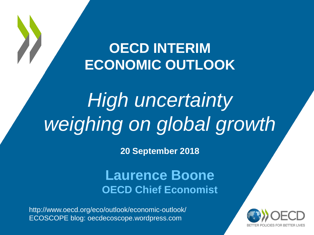### **OECD INTERIM ECONOMIC OUTLOOK**

## *High uncertainty weighing on global growth*

**20 September 2018**

### **Laurence Boone OECD Chief Economist**

http://www.oecd.org/eco/outlook/economic-outlook/ ECOSCOPE blog: oecdecoscope.wordpress.com

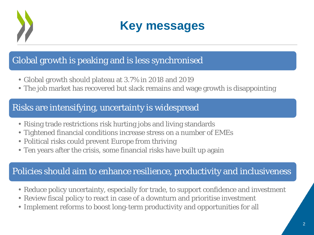

**Key messages**

### Global growth is peaking and is less synchronised

- Global growth should plateau at 3.7% in 2018 and 2019
- The job market has recovered but slack remains and wage growth is disappointing

#### Risks are intensifying, uncertainty is widespread

- Rising trade restrictions risk hurting jobs and living standards
- Tightened financial conditions increase stress on a number of EMEs
- Political risks could prevent Europe from thriving
- Ten years after the crisis, some financial risks have built up again

### Policies should aim to enhance resilience, productivity and inclusiveness

- Reduce policy uncertainty, especially for trade, to support confidence and investment
- Review fiscal policy to react in case of a downturn and prioritise investment
- Implement reforms to boost long-term productivity and opportunities for all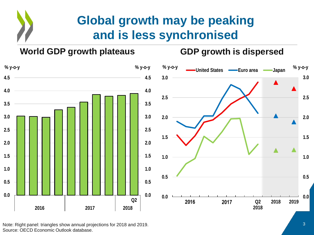### **Global growth may be peaking and is less synchronised**

#### **World GDP growth plateaus GDP growth is dispersed**



Note: Right panel: triangles show annual projections for 2018 and 2019. Source: OECD Economic Outlook database.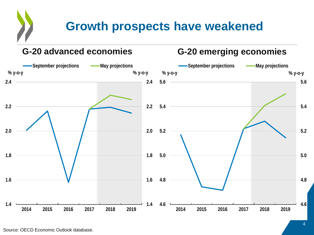### **Growth prospects have weakened**

#### **G-20 advanced economies G-20 emerging economies**

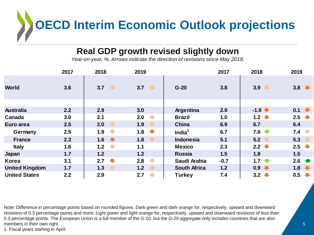# **OECD Interim Economic Outlook projections**

#### **Real GDP growth revised slightly down**

*Year-on-year, %. Arrows indicate the direction of revisions since May 2018.*

|                       | 2017  | 2018                            | 2019                            |                     | 2017   | 2018                | 2019                     |
|-----------------------|-------|---------------------------------|---------------------------------|---------------------|--------|---------------------|--------------------------|
| <b>World</b>          | 3.6   | 3.7                             | 3.7                             | $G-20$              | 3.8    | 3.9                 | 3.8 $\sqrt{ }$           |
|                       |       |                                 |                                 |                     |        |                     |                          |
| <b>Australia</b>      | 2.2   | 2.9                             | 3.0                             | Argentina           | 2.9    | $-1.9$              | 0.1                      |
| Canada                | 3.0   | 2.1                             | 2.0                             | <b>Brazil</b>       | 1.0    | $1.2 \quad \bullet$ | 2.5 $\sqrt{ }$           |
| Euro area             | 2.5   | 2.0                             | 1.9<br>$\ddot{\phantom{a}}$     | <b>China</b>        | 6.9    | 6.7                 | 6.4                      |
| Germany               | 2.5   | $\overline{\phantom{a}}$<br>1.9 | 1.8 $\sqrt{\phantom{0}}$        | India $1$           | 6.7    | $7.6 \t{m}$         | 7.4                      |
| <b>France</b>         | 2.3   | 1.6 $\sqrt{\phantom{0}}$        | 1.8<br>$\overline{\phantom{a}}$ | <b>Indonesia</b>    | 5.1    | 5.2                 | 5.3                      |
| <b>Italy</b>          | 1.6   | $\overline{\phantom{a}}$<br>1.2 | 1.1                             | <b>Mexico</b>       | 2.3    | $2.2 \quad \bullet$ | 2.5 $\sqrt{ }$           |
| Japan                 | 1.7   | 1.2                             | 1.2                             | <b>Russia</b>       | 1.5    | 1.8                 | 1.5                      |
| Korea                 | 3.1   | 2.7<br>$\overline{\phantom{a}}$ | $\overline{\phantom{a}}$<br>2.8 | Saudi Arabia        | $-0.7$ | 1.7 $\bullet$       |                          |
| <b>United Kingdom</b> | $1.7$ | 1.3<br>J                        | 1.2<br>$\overline{\phantom{a}}$ | <b>South Africa</b> | 1.2    | 0.9                 | 1.8 $\sqrt{\phantom{0}}$ |
| <b>United States</b>  | 2.2   | 2.9                             | $\overline{\phantom{a}}$<br>2.7 | Turkey              | 7.4    | $3.2 \quad \bullet$ | 0.5                      |

Note: Difference in percentage points based on rounded figures. Dark green and dark orange for, respectively, upward and downward revisions of 0.3 percentage points and more. Light green and light orange for, respectively, upward and downward revisions of less than 0.3 percentage points. The European Union is a full member of the G-20, but the G-20 aggregate only includes countries that are also members in their own right.

1. Fiscal years starting in April.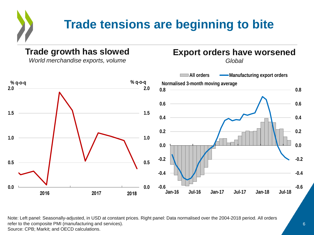### **Trade tensions are beginning to bite**

#### **Trade growth has slowed**

*World merchandise exports, volume*

#### **Export orders have worsened**

*Global*



Note: Left panel: Seasonally-adjusted, in USD at constant prices. Right panel: Data normalised over the 2004-2018 period. All orders refer to the composite PMI (manufacturing and services). Source: CPB; Markit; and OECD calculations.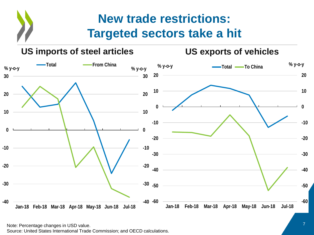### **New trade restrictions: Targeted sectors take a hit**



Note: Percentage changes in USD value. 7

Source: United States International Trade Commission; and OECD calculations.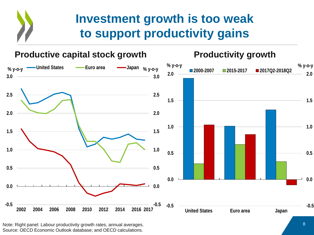### **Investment growth is too weak to support productivity gains**



Note: Right panel: Labour productivity growth rates, annual averages. 8 Source: OECD Economic Outlook database; and OECD calculations.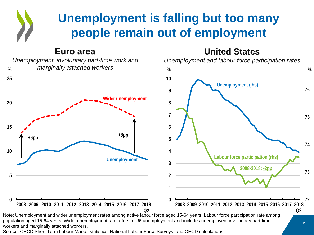### **Unemployment is falling but too many people remain out of employment**

**United States**

**Euro area**



population aged 15-64 years. Wider unemployment rate refers to U6 unemployment and includes unemployed, involuntary part-time workers and marginally attached workers.

Source: OECD Short-Term Labour Market statistics; National Labour Force Surveys; and OECD calculations.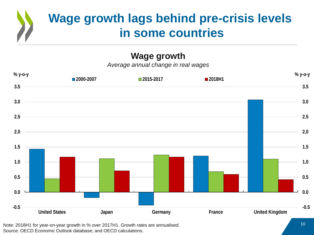### **Wage growth lags behind pre-crisis levels in some countries**

#### **Wage growth**

*Average annual change in real wages*



Note: 2018H1 for year-on-year growth in % over 2017H1. Growth rates are annualised. Source: OECD Economic Outlook database; and OECD calculations.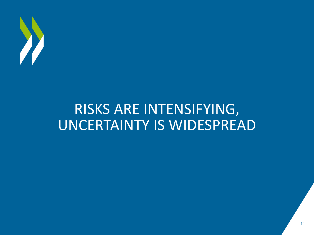

### RISKS ARE INTENSIFYING, UNCERTAINTY IS WIDESPREAD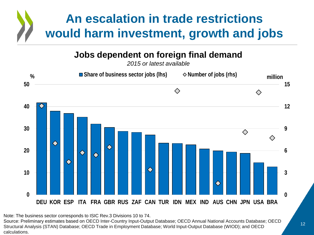

**Jobs dependent on foreign final demand**

*2015 or latest available*



Note: The business sector corresponds to ISIC Rev.3 Divisions 10 to 74. Source: Preliminary estimates based on OECD Inter-Country Input-Output Database; OECD Annual National Accounts Database; OECD Structural Analysis (STAN) Database; OECD Trade in Employment Database; World Input-Output Database (WIOD); and OECD calculations.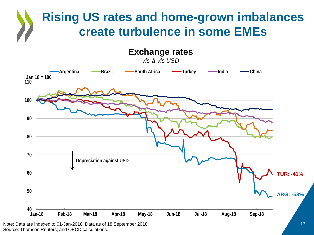### **Rising US rates and home-grown imbalances create turbulence in some EMEs**



Source: Thomson Reuters; and OECD calculations.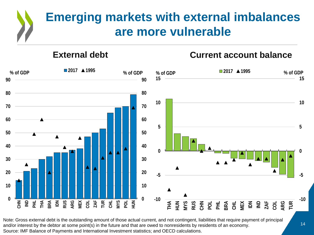### **Emerging markets with external imbalances are more vulnerable**

#### **External debt**

#### **Current account balance**



Note: Gross external debt is the outstanding amount of those actual current, and not contingent, liabilities that require payment of principal and/or interest by the debtor at some point(s) in the future and that are owed to nonresidents by residents of an economy. Source: IMF Balance of Payments and International Investment statistics; and OECD calculations.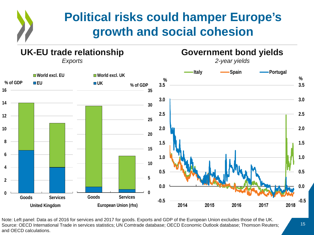### **Political risks could hamper Europe's growth and social cohesion**

#### **UK-EU trade relationship**

**Italy -Spain -Portugal World excl. EU World excl. UK % % % of GDP EU UK % of GDP3.5 3.5 16 35 3.0 3.0 14 30 2.5 2.5 12 25 2.0 10 2.0 20 8 1.5 1.5 15 6 1.0 1.0 10 4 0.5 0.5 5 2 0.0 0.0 0 0 Goods Services Goods Services -0.5 -0.5** 2018 **United Kingdom European Union (rhs) 2014 2015 2016 2017 2018**

Note: Left panel: Data as of 2016 for services and 2017 for goods. Exports and GDP of the European Union excludes those of the UK. Source: OECD International Trade in services statistics; UN Comtrade database; OECD Economic Outlook database; Thomson Reuters; and OECD calculations.

*Exports*

**Government bond yields** *2-year yields*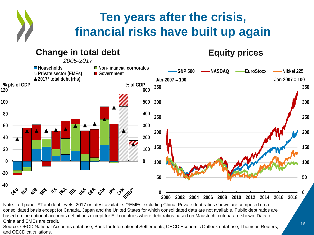### **Ten years after the crisis, financial risks have built up again**

#### **Change in total debt**  *2005-2017*

#### **Equity prices**



Note: Left panel: \*Total debt levels, 2017 or latest available. \*\*EMEs excluding China. Private debt ratios shown are computed on a consolidated basis except for Canada, Japan and the United States for which consolidated data are not available. Public debt ratios are based on the national accounts definitions except for EU countries where debt ratios based on Maastricht criteria are shown. Data for China and EMEs are credit.

Source: OECD National Accounts database; Bank for International Settlements; OECD Economic Outlook database; Thomson Reuters; and OECD calculations.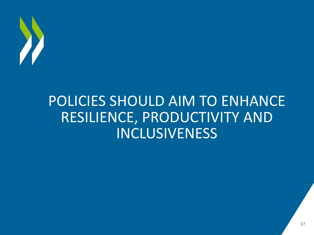

### POLICIES SHOULD AIM TO ENHANCE RESILIENCE, PRODUCTIVITY AND INCLUSIVENESS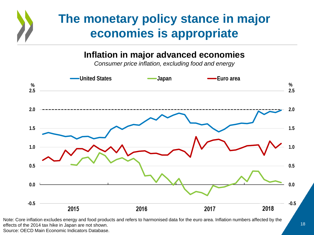### **The monetary policy stance in major economies is appropriate**

#### **Inflation in major advanced economies**

*Consumer price inflation, excluding food and energy*



Note: Core inflation excludes energy and food products and refers to harmonised data for the euro area. Inflation numbers affected by the effects of the 2014 tax hike in Japan are not shown. Source: OECD Main Economic Indicators Database.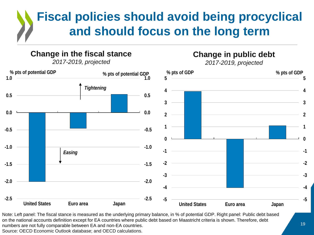### **Fiscal policies should avoid being procyclical and should focus on the long term**

#### **Change in the fiscal stance**

*2017-2019, projected*



*2017-2019, projected*



Note: Left panel: The fiscal stance is measured as the underlying primary balance, in % of potential GDP. Right panel: Public debt based on the national accounts definition except for EA countries where public debt based on Maastricht criteria is shown. Therefore, debt numbers are not fully comparable between EA and non-EA countries. Source: OECD Economic Outlook database; and OECD calculations.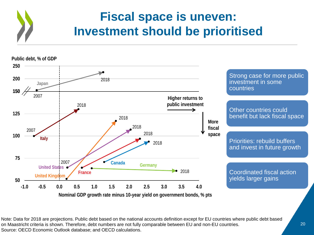



Note: Data for 2018 are projections. Public debt based on the national accounts definition except for EU countries where public debt based on Maastricht criteria is shown. Therefore, debt numbers are not fully comparable between EU and non-EU countries. Source: OECD Economic Outlook database; and OECD calculations.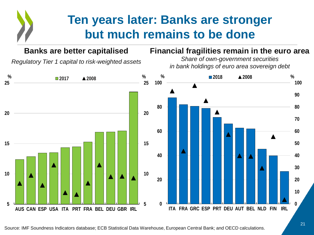### **Ten years later: Banks are stronger but much remains to be done**

#### **Banks are better capitalised**

*Regulatory Tier 1 capital to risk-weighted assets*

#### **Financial fragilities remain in the euro area**

*Share of own-government securities in bank holdings of euro area sovereign debt*

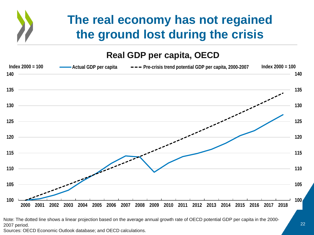### **The real economy has not regained the ground lost during the crisis**

#### **Real GDP per capita, OECD**



Note: The dotted line shows a linear projection based on the average annual growth rate of OECD potential GDP per capita in the 2000- 2007 period.

Sources: OECD Economic Outlook database; and OECD calculations.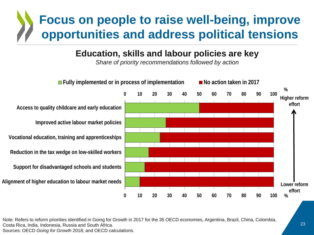### **Focus on people to raise well-being, improve opportunities and address political tensions**

#### **Education, skills and labour policies are key**

*Share of priority recommendations followed by action*



Note: Refers to reform priorities identified in Going for Growth in 2017 for the 35 OECD economies, Argentina, Brazil, China, Colombia, Costa Rica, India, Indonesia, Russia and South Africa. Sources: OECD *Going for Growth* 2018; and OECD calculations.